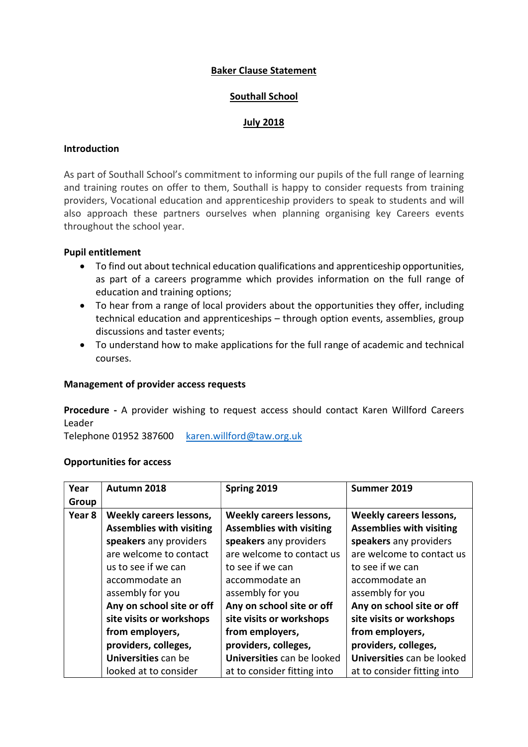# Baker Clause Statement

## Southall School

## July 2018

### Introduction

As part of Southall School's commitment to informing our pupils of the full range of learning and training routes on offer to them, Southall is happy to consider requests from training providers, Vocational education and apprenticeship providers to speak to students and will also approach these partners ourselves when planning organising key Careers events throughout the school year.

## Pupil entitlement

- To find out about technical education qualifications and apprenticeship opportunities, as part of a careers programme which provides information on the full range of education and training options;
- To hear from a range of local providers about the opportunities they offer, including technical education and apprenticeships – through option events, assemblies, group discussions and taster events;
- To understand how to make applications for the full range of academic and technical courses.

### Management of provider access requests

Procedure - A provider wishing to request access should contact Karen Willford Careers Leader

Telephone 01952 387600 karen.willford@taw.org.uk

### Opportunities for access

| Year   | Autumn 2018                     | Spring 2019                     | Summer 2019                     |
|--------|---------------------------------|---------------------------------|---------------------------------|
| Group  |                                 |                                 |                                 |
| Year 8 | <b>Weekly careers lessons,</b>  | Weekly careers lessons,         | Weekly careers lessons,         |
|        | <b>Assemblies with visiting</b> | <b>Assemblies with visiting</b> | <b>Assemblies with visiting</b> |
|        | speakers any providers          | speakers any providers          | speakers any providers          |
|        | are welcome to contact          | are welcome to contact us       | are welcome to contact us       |
|        | us to see if we can             | to see if we can                | to see if we can                |
|        | accommodate an                  | accommodate an                  | accommodate an                  |
|        | assembly for you                | assembly for you                | assembly for you                |
|        | Any on school site or off       | Any on school site or off       | Any on school site or off       |
|        | site visits or workshops        | site visits or workshops        | site visits or workshops        |
|        | from employers,                 | from employers,                 | from employers,                 |
|        | providers, colleges,            | providers, colleges,            | providers, colleges,            |
|        | Universities can be             | Universities can be looked      | Universities can be looked      |
|        | looked at to consider           | at to consider fitting into     | at to consider fitting into     |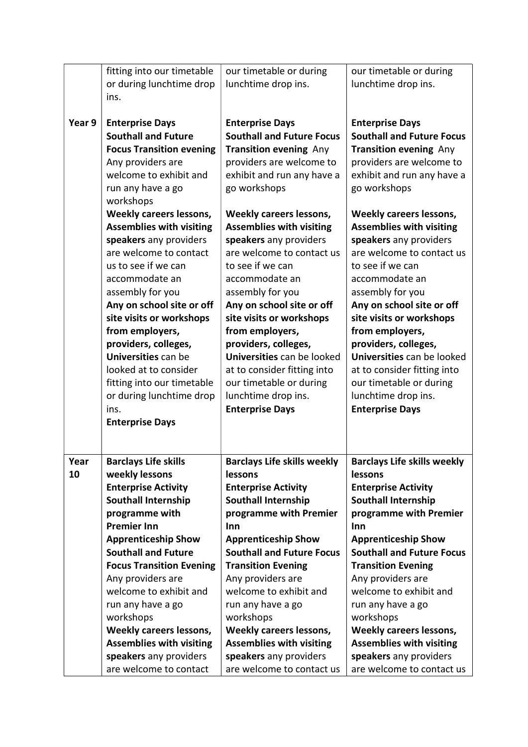|        | fitting into our timetable      | our timetable or during            | our timetable or during            |
|--------|---------------------------------|------------------------------------|------------------------------------|
|        | or during lunchtime drop        | lunchtime drop ins.                | lunchtime drop ins.                |
|        | ins.                            |                                    |                                    |
|        |                                 |                                    |                                    |
| Year 9 | <b>Enterprise Days</b>          | <b>Enterprise Days</b>             | <b>Enterprise Days</b>             |
|        | <b>Southall and Future</b>      | <b>Southall and Future Focus</b>   | <b>Southall and Future Focus</b>   |
|        | <b>Focus Transition evening</b> | <b>Transition evening Any</b>      | <b>Transition evening Any</b>      |
|        | Any providers are               | providers are welcome to           | providers are welcome to           |
|        | welcome to exhibit and          | exhibit and run any have a         | exhibit and run any have a         |
|        | run any have a go               | go workshops                       | go workshops                       |
|        | workshops                       |                                    |                                    |
|        | Weekly careers lessons,         | <b>Weekly careers lessons,</b>     | <b>Weekly careers lessons,</b>     |
|        | <b>Assemblies with visiting</b> | <b>Assemblies with visiting</b>    | <b>Assemblies with visiting</b>    |
|        | speakers any providers          | speakers any providers             | speakers any providers             |
|        | are welcome to contact          | are welcome to contact us          | are welcome to contact us          |
|        | us to see if we can             | to see if we can                   | to see if we can                   |
|        | accommodate an                  | accommodate an                     | accommodate an                     |
|        | assembly for you                | assembly for you                   | assembly for you                   |
|        | Any on school site or off       | Any on school site or off          | Any on school site or off          |
|        | site visits or workshops        | site visits or workshops           | site visits or workshops           |
|        | from employers,                 | from employers,                    | from employers,                    |
|        | providers, colleges,            | providers, colleges,               | providers, colleges,               |
|        | Universities can be             | Universities can be looked         | Universities can be looked         |
|        | looked at to consider           | at to consider fitting into        | at to consider fitting into        |
|        | fitting into our timetable      | our timetable or during            | our timetable or during            |
|        | or during lunchtime drop        | lunchtime drop ins.                | lunchtime drop ins.                |
|        | ins.                            | <b>Enterprise Days</b>             | <b>Enterprise Days</b>             |
|        | <b>Enterprise Days</b>          |                                    |                                    |
|        |                                 |                                    |                                    |
|        |                                 |                                    |                                    |
| Year   | <b>Barclays Life skills</b>     | <b>Barclays Life skills weekly</b> | <b>Barclays Life skills weekly</b> |
| 10     | weekly lessons                  | lessons                            | lessons                            |
|        | <b>Enterprise Activity</b>      | <b>Enterprise Activity</b>         | <b>Enterprise Activity</b>         |
|        | <b>Southall Internship</b>      | <b>Southall Internship</b>         | <b>Southall Internship</b>         |
|        | programme with                  | programme with Premier             | programme with Premier             |
|        | <b>Premier Inn</b>              | Inn                                | Inn                                |
|        | <b>Apprenticeship Show</b>      | <b>Apprenticeship Show</b>         | <b>Apprenticeship Show</b>         |
|        | <b>Southall and Future</b>      | <b>Southall and Future Focus</b>   | <b>Southall and Future Focus</b>   |
|        | <b>Focus Transition Evening</b> | <b>Transition Evening</b>          | <b>Transition Evening</b>          |
|        | Any providers are               | Any providers are                  | Any providers are                  |
|        | welcome to exhibit and          | welcome to exhibit and             | welcome to exhibit and             |
|        | run any have a go               | run any have a go                  | run any have a go                  |
|        | workshops                       | workshops                          | workshops                          |
|        | Weekly careers lessons,         | Weekly careers lessons,            | Weekly careers lessons,            |
|        | <b>Assemblies with visiting</b> | <b>Assemblies with visiting</b>    | <b>Assemblies with visiting</b>    |
|        | speakers any providers          | speakers any providers             | speakers any providers             |
|        | are welcome to contact          | are welcome to contact us          | are welcome to contact us          |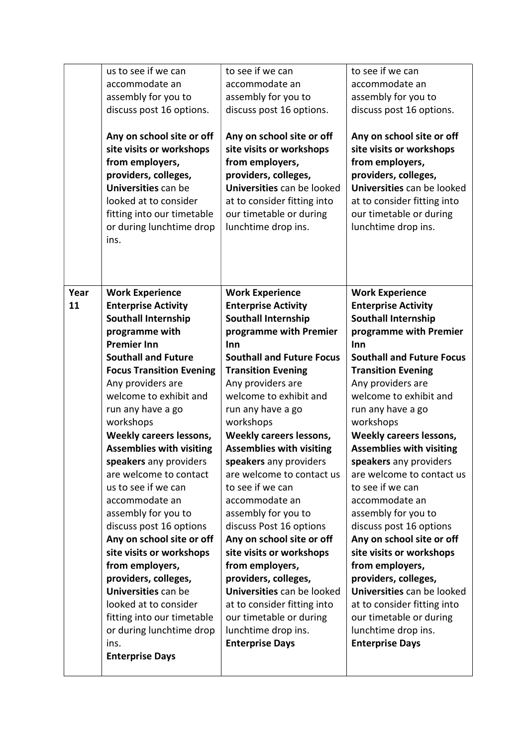|            | us to see if we can<br>accommodate an<br>assembly for you to<br>discuss post 16 options.<br>Any on school site or off<br>site visits or workshops<br>from employers,<br>providers, colleges,<br>Universities can be<br>looked at to consider | to see if we can<br>accommodate an<br>assembly for you to<br>discuss post 16 options.<br>Any on school site or off<br>site visits or workshops<br>from employers,<br>providers, colleges,<br>Universities can be looked<br>at to consider fitting into | to see if we can<br>accommodate an<br>assembly for you to<br>discuss post 16 options.<br>Any on school site or off<br>site visits or workshops<br>from employers,<br>providers, colleges,<br>Universities can be looked<br>at to consider fitting into |
|------------|----------------------------------------------------------------------------------------------------------------------------------------------------------------------------------------------------------------------------------------------|--------------------------------------------------------------------------------------------------------------------------------------------------------------------------------------------------------------------------------------------------------|--------------------------------------------------------------------------------------------------------------------------------------------------------------------------------------------------------------------------------------------------------|
|            | fitting into our timetable<br>or during lunchtime drop<br>ins.                                                                                                                                                                               | our timetable or during<br>lunchtime drop ins.                                                                                                                                                                                                         | our timetable or during<br>lunchtime drop ins.                                                                                                                                                                                                         |
| Year<br>11 | <b>Work Experience</b><br><b>Enterprise Activity</b>                                                                                                                                                                                         | <b>Work Experience</b><br><b>Enterprise Activity</b>                                                                                                                                                                                                   | <b>Work Experience</b><br><b>Enterprise Activity</b>                                                                                                                                                                                                   |
|            | <b>Southall Internship</b>                                                                                                                                                                                                                   | <b>Southall Internship</b>                                                                                                                                                                                                                             | <b>Southall Internship</b>                                                                                                                                                                                                                             |
|            | programme with                                                                                                                                                                                                                               | programme with Premier                                                                                                                                                                                                                                 | programme with Premier                                                                                                                                                                                                                                 |
|            | <b>Premier Inn</b>                                                                                                                                                                                                                           | Inn                                                                                                                                                                                                                                                    | Inn                                                                                                                                                                                                                                                    |
|            | <b>Southall and Future</b><br><b>Focus Transition Evening</b>                                                                                                                                                                                | <b>Southall and Future Focus</b><br><b>Transition Evening</b>                                                                                                                                                                                          | <b>Southall and Future Focus</b><br><b>Transition Evening</b>                                                                                                                                                                                          |
|            | Any providers are                                                                                                                                                                                                                            | Any providers are                                                                                                                                                                                                                                      | Any providers are                                                                                                                                                                                                                                      |
|            | welcome to exhibit and                                                                                                                                                                                                                       | welcome to exhibit and                                                                                                                                                                                                                                 | welcome to exhibit and                                                                                                                                                                                                                                 |
|            | run any have a go                                                                                                                                                                                                                            | run any have a go                                                                                                                                                                                                                                      | run any have a go                                                                                                                                                                                                                                      |
|            | workshops                                                                                                                                                                                                                                    | workshops                                                                                                                                                                                                                                              | workshops                                                                                                                                                                                                                                              |
|            | Weekly careers lessons,                                                                                                                                                                                                                      | <b>Weekly careers lessons,</b>                                                                                                                                                                                                                         | Weekly careers lessons,                                                                                                                                                                                                                                |
|            | <b>Assemblies with visiting</b>                                                                                                                                                                                                              | <b>Assemblies with visiting</b>                                                                                                                                                                                                                        | <b>Assemblies with visiting</b>                                                                                                                                                                                                                        |
|            | speakers any providers                                                                                                                                                                                                                       | speakers any providers                                                                                                                                                                                                                                 | speakers any providers                                                                                                                                                                                                                                 |
|            | are welcome to contact                                                                                                                                                                                                                       | are welcome to contact us                                                                                                                                                                                                                              | are welcome to contact us                                                                                                                                                                                                                              |
|            | us to see if we can                                                                                                                                                                                                                          | to see if we can                                                                                                                                                                                                                                       | to see if we can                                                                                                                                                                                                                                       |
|            | accommodate an<br>assembly for you to                                                                                                                                                                                                        | accommodate an<br>assembly for you to                                                                                                                                                                                                                  | accommodate an<br>assembly for you to                                                                                                                                                                                                                  |
|            | discuss post 16 options                                                                                                                                                                                                                      | discuss Post 16 options                                                                                                                                                                                                                                | discuss post 16 options                                                                                                                                                                                                                                |
|            | Any on school site or off                                                                                                                                                                                                                    | Any on school site or off                                                                                                                                                                                                                              | Any on school site or off                                                                                                                                                                                                                              |
|            | site visits or workshops                                                                                                                                                                                                                     | site visits or workshops                                                                                                                                                                                                                               | site visits or workshops                                                                                                                                                                                                                               |
|            | from employers,                                                                                                                                                                                                                              | from employers,                                                                                                                                                                                                                                        | from employers,                                                                                                                                                                                                                                        |
|            | providers, colleges,                                                                                                                                                                                                                         | providers, colleges,                                                                                                                                                                                                                                   | providers, colleges,                                                                                                                                                                                                                                   |
|            | Universities can be                                                                                                                                                                                                                          | Universities can be looked                                                                                                                                                                                                                             | Universities can be looked                                                                                                                                                                                                                             |
|            | looked at to consider                                                                                                                                                                                                                        | at to consider fitting into                                                                                                                                                                                                                            | at to consider fitting into                                                                                                                                                                                                                            |
|            | fitting into our timetable<br>or during lunchtime drop                                                                                                                                                                                       | our timetable or during<br>lunchtime drop ins.                                                                                                                                                                                                         | our timetable or during<br>lunchtime drop ins.                                                                                                                                                                                                         |
|            | ins.                                                                                                                                                                                                                                         | <b>Enterprise Days</b>                                                                                                                                                                                                                                 | <b>Enterprise Days</b>                                                                                                                                                                                                                                 |
|            | <b>Enterprise Days</b>                                                                                                                                                                                                                       |                                                                                                                                                                                                                                                        |                                                                                                                                                                                                                                                        |
|            |                                                                                                                                                                                                                                              |                                                                                                                                                                                                                                                        |                                                                                                                                                                                                                                                        |